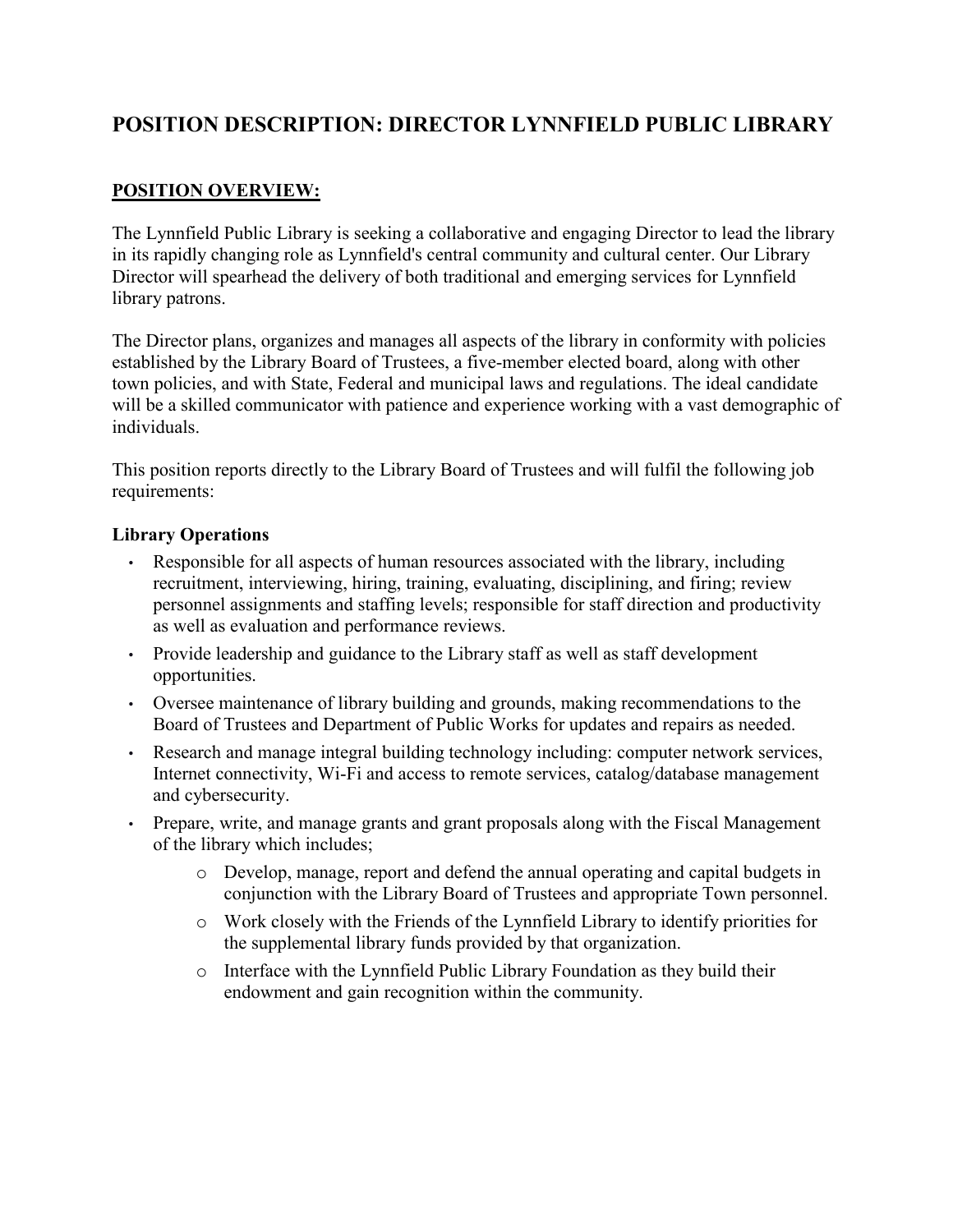# **POSITION DESCRIPTION: DIRECTOR LYNNFIELD PUBLIC LIBRARY**

## **POSITION OVERVIEW:**

The Lynnfield Public Library is seeking a collaborative and engaging Director to lead the library in its rapidly changing role as Lynnfield's central community and cultural center. Our Library Director will spearhead the delivery of both traditional and emerging services for Lynnfield library patrons.

The Director plans, organizes and manages all aspects of the library in conformity with policies established by the Library Board of Trustees, a five-member elected board, along with other town policies, and with State, Federal and municipal laws and regulations. The ideal candidate will be a skilled communicator with patience and experience working with a vast demographic of individuals.

This position reports directly to the Library Board of Trustees and will fulfil the following job requirements:

#### **Library Operations**

- Responsible for all aspects of human resources associated with the library, including recruitment, interviewing, hiring, training, evaluating, disciplining, and firing; review personnel assignments and staffing levels; responsible for staff direction and productivity as well as evaluation and performance reviews.
- Provide leadership and guidance to the Library staff as well as staff development opportunities.
- Oversee maintenance of library building and grounds, making recommendations to the Board of Trustees and Department of Public Works for updates and repairs as needed.
- Research and manage integral building technology including: computer network services, Internet connectivity, Wi-Fi and access to remote services, catalog/database management and cybersecurity.
- Prepare, write, and manage grants and grant proposals along with the Fiscal Management of the library which includes;
	- o Develop, manage, report and defend the annual operating and capital budgets in conjunction with the Library Board of Trustees and appropriate Town personnel.
	- o Work closely with the Friends of the Lynnfield Library to identify priorities for the supplemental library funds provided by that organization.
	- o Interface with the Lynnfield Public Library Foundation as they build their endowment and gain recognition within the community.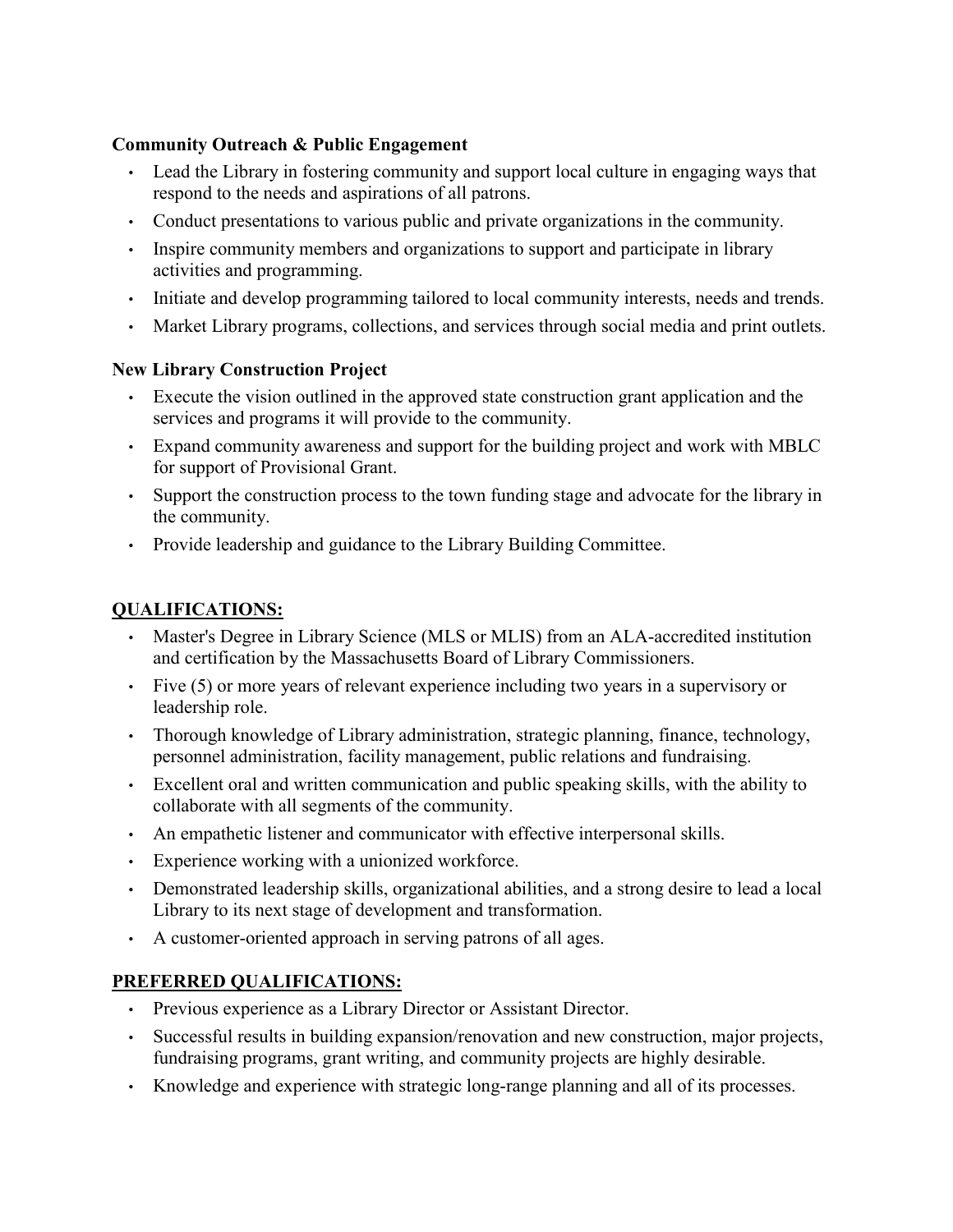#### **Community Outreach & Public Engagement**

- Lead the Library in fostering community and support local culture in engaging ways that respond to the needs and aspirations of all patrons.
- Conduct presentations to various public and private organizations in the community.
- Inspire community members and organizations to support and participate in library activities and programming.
- Initiate and develop programming tailored to local community interests, needs and trends.
- Market Library programs, collections, and services through social media and print outlets.

#### **New Library Construction Project**

- Execute the vision outlined in the approved state construction grant application and the services and programs it will provide to the community.
- Expand community awareness and support for the building project and work with MBLC for support of Provisional Grant.
- Support the construction process to the town funding stage and advocate for the library in the community.
- Provide leadership and guidance to the Library Building Committee.

## **QUALIFICATIONS:**

- Master's Degree in Library Science (MLS or MLIS) from an ALA-accredited institution and certification by the Massachusetts Board of Library Commissioners.
- Five (5) or more years of relevant experience including two years in a supervisory or leadership role.
- Thorough knowledge of Library administration, strategic planning, finance, technology, personnel administration, facility management, public relations and fundraising.
- Excellent oral and written communication and public speaking skills, with the ability to collaborate with all segments of the community.
- An empathetic listener and communicator with effective interpersonal skills.
- Experience working with a unionized workforce.
- Demonstrated leadership skills, organizational abilities, and a strong desire to lead a local Library to its next stage of development and transformation.
- A customer-oriented approach in serving patrons of all ages.

## **PREFERRED QUALIFICATIONS:**

- Previous experience as a Library Director or Assistant Director.
- Successful results in building expansion/renovation and new construction, major projects, fundraising programs, grant writing, and community projects are highly desirable.
- Knowledge and experience with strategic long-range planning and all of its processes.